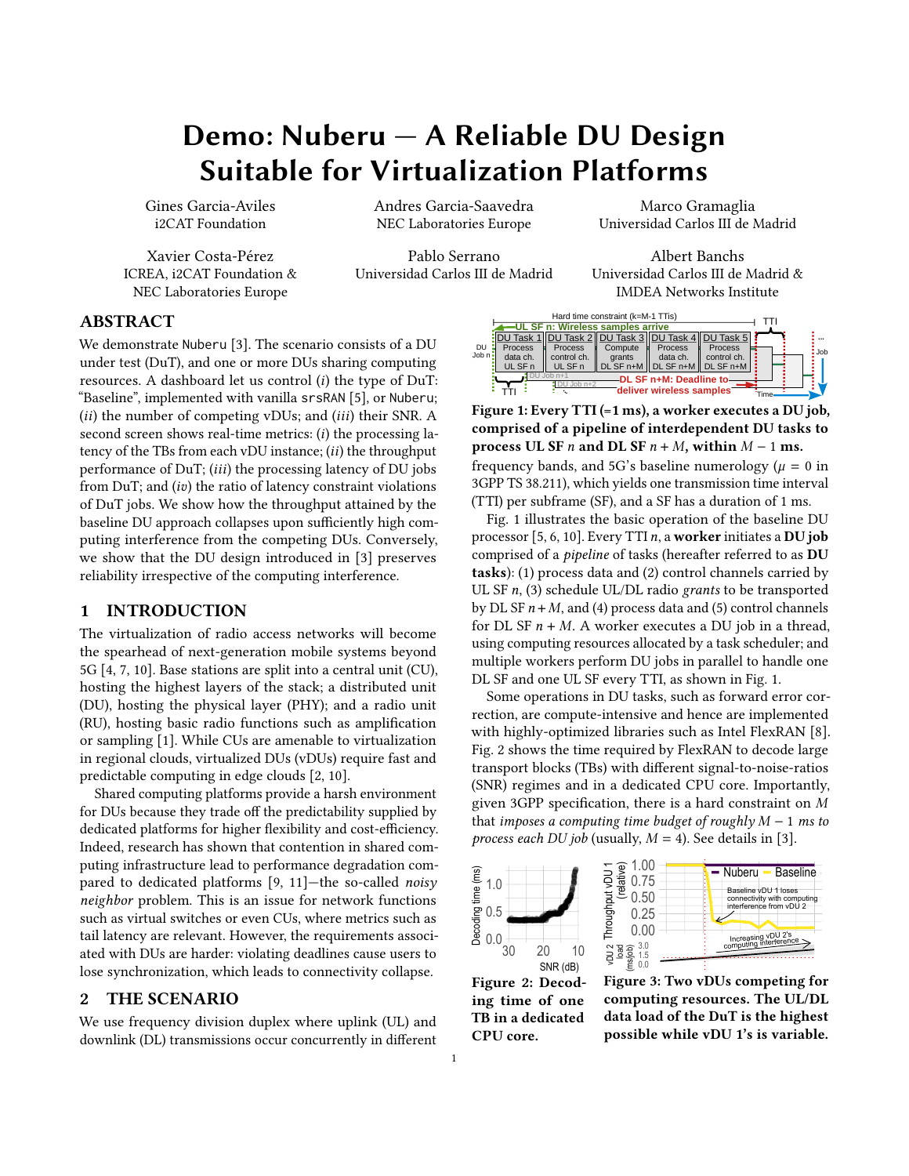# Demo: Nuberu — A Reliable DU Design Suitable for Virtualization Platforms

Gines Garcia-Aviles i2CAT Foundation

Xavier Costa-Pérez ICREA, i2CAT Foundation & NEC Laboratories Europe

Andres Garcia-Saavedra NEC Laboratories Europe

Pablo Serrano Universidad Carlos III de Madrid

Marco Gramaglia Universidad Carlos III de Madrid

Albert Banchs Universidad Carlos III de Madrid & IMDEA Networks Institute

# ABSTRACT

We demonstrate Nuberu [\[3\]](#page-2-0). The scenario consists of a DU under test (DuT), and one or more DUs sharing computing resources. A dashboard let us control  $(i)$  the type of DuT: "Baseline", implemented with vanilla srsRAN [\[5\]](#page-2-1), or Nuberu;  $(ii)$  the number of competing vDUs; and  $(iii)$  their SNR. A second screen shows real-time metrics:  $(i)$  the processing latency of the TBs from each vDU instance;  $(ii)$  the throughput performance of  $DuT$ ; (*iii*) the processing latency of  $DU$  jobs from  $DuT$ ; and  $(iv)$  the ratio of latency constraint violations of DuT jobs. We show how the throughput attained by the baseline DU approach collapses upon sufficiently high computing interference from the competing DUs. Conversely, we show that the DU design introduced in [\[3\]](#page-2-0) preserves reliability irrespective of the computing interference.

# 1 INTRODUCTION

The virtualization of radio access networks will become the spearhead of next-generation mobile systems beyond 5G [\[4,](#page-2-2) [7,](#page-2-3) [10\]](#page-2-4). Base stations are split into a central unit (CU), hosting the highest layers of the stack; a distributed unit (DU), hosting the physical layer (PHY); and a radio unit (RU), hosting basic radio functions such as amplification or sampling [\[1\]](#page-2-5). While CUs are amenable to virtualization in regional clouds, virtualized DUs (vDUs) require fast and predictable computing in edge clouds [\[2,](#page-2-6) [10\]](#page-2-4).

Shared computing platforms provide a harsh environment for DUs because they trade off the predictability supplied by dedicated platforms for higher flexibility and cost-efficiency. Indeed, research has shown that contention in shared computing infrastructure lead to performance degradation compared to dedicated platforms [\[9,](#page-2-7) [11\]](#page-2-8)—the so-called noisy neighbor problem. This is an issue for network functions such as virtual switches or even CUs, where metrics such as tail latency are relevant. However, the requirements associated with DUs are harder: violating deadlines cause users to lose synchronization, which leads to connectivity collapse.

#### 2 THE SCENARIO

We use frequency division duplex where uplink (UL) and downlink (DL) transmissions occur concurrently in different

<span id="page-0-0"></span>

Figure 1: Every TTI (=1 ms), a worker executes a DU job, comprised of a pipeline of interdependent DU tasks to process UL SF *n* and DL SF  $n + M$ , within  $M - 1$  ms. frequency bands, and 5G's baseline numerology ( $\mu = 0$  in 3GPP TS 38.211), which yields one transmission time interval (TTI) per subframe (SF), and a SF has a duration of 1 ms.

Fig. [1](#page-0-0) illustrates the basic operation of the baseline DU processor [\[5,](#page-2-1) [6,](#page-2-9) [10\]](#page-2-4). Every TTI  $n$ , a worker initiates a DU job comprised of a pipeline of tasks (hereafter referred to as DU tasks): (1) process data and (2) control channels carried by UL SF  $n$ , (3) schedule UL/DL radio grants to be transported by DL SF  $n + M$ , and (4) process data and (5) control channels for DL SF  $n + M$ . A worker executes a DU job in a thread, using computing resources allocated by a task scheduler; and multiple workers perform DU jobs in parallel to handle one DL SF and one UL SF every TTI, as shown in Fig. [1.](#page-0-0)

Some operations in DU tasks, such as forward error correction, are compute-intensive and hence are implemented with highly-optimized libraries such as Intel FlexRAN [\[8\]](#page-2-10). Fig. [2](#page-0-1) shows the time required by FlexRAN to decode large transport blocks (TBs) with different signal-to-noise-ratios (SNR) regimes and in a dedicated CPU core. Importantly, given 3GPP specification, there is a hard constraint on  $M$ that imposes a computing time budget of roughly  $M - 1$  ms to process each DU job (usually,  $M = 4$ ). See details in [\[3\]](#page-2-0).

<span id="page-0-1"></span>



Figure 2: Decoding time of one TB in a dedicated CPU core.

Figure 3: Two vDUs competing for computing resources. The UL/DL data load of the DuT is the highest possible while vDU 1's is variable.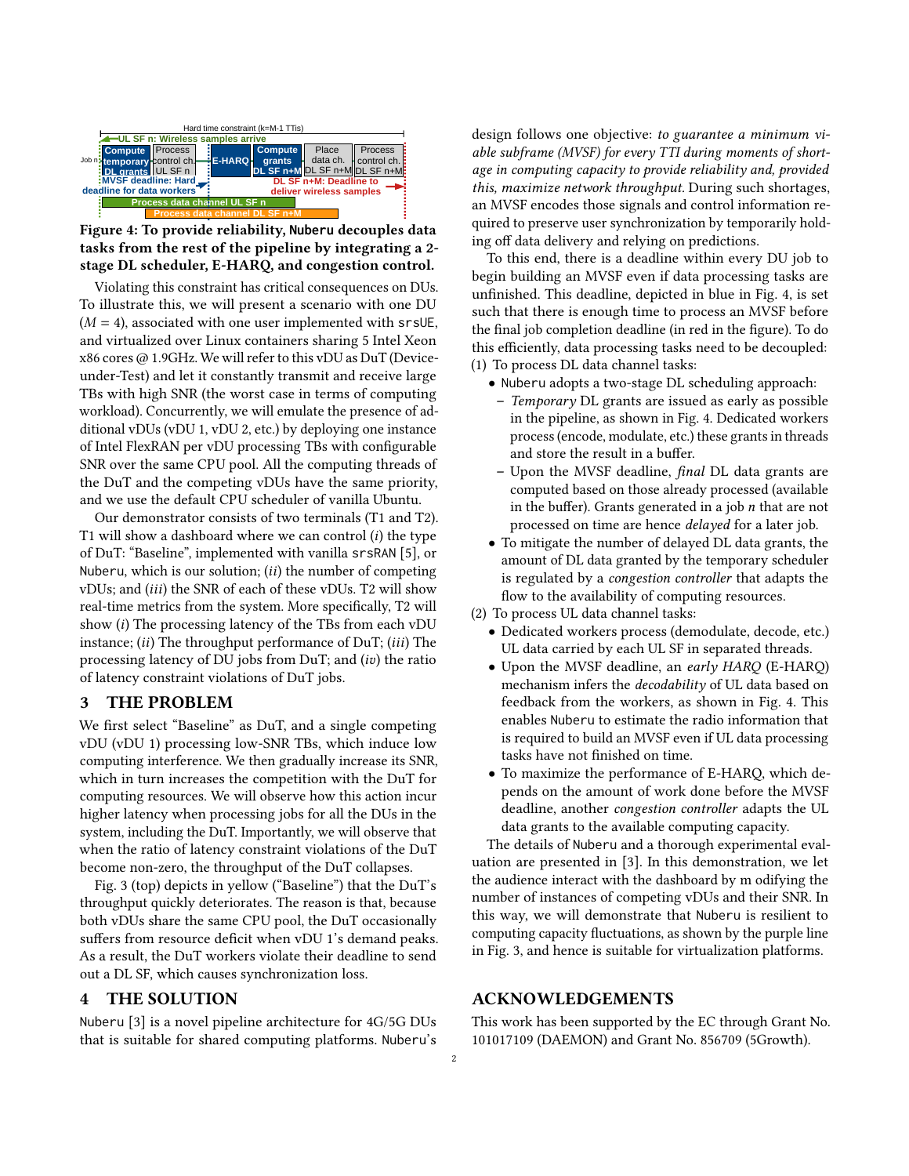<span id="page-1-0"></span>

Figure 4: To provide reliability, **Nuberu** decouples data tasks from the rest of the pipeline by integrating a 2 stage DL scheduler, E-HARQ, and congestion control.

Violating this constraint has critical consequences on DUs. To illustrate this, we will present a scenario with one DU  $(M = 4)$ , associated with one user implemented with srsUE, and virtualized over Linux containers sharing 5 Intel Xeon x86 cores @ 1.9GHz. We will refer to this vDU as DuT (Deviceunder-Test) and let it constantly transmit and receive large TBs with high SNR (the worst case in terms of computing workload). Concurrently, we will emulate the presence of additional vDUs (vDU 1, vDU 2, etc.) by deploying one instance of Intel FlexRAN per vDU processing TBs with configurable SNR over the same CPU pool. All the computing threads of the DuT and the competing vDUs have the same priority, and we use the default CPU scheduler of vanilla Ubuntu.

Our demonstrator consists of two terminals (T1 and T2). T1 will show a dashboard where we can control  $(i)$  the type of DuT: "Baseline", implemented with vanilla srsRAN [\[5\]](#page-2-1), or Nuberu, which is our solution;  $(ii)$  the number of competing vDUs; and (iii) the SNR of each of these vDUs. T2 will show real-time metrics from the system. More specifically, T2 will show  $(i)$  The processing latency of the TBs from each vDU instance; (*ii*) The throughput performance of  $DuT$ ; (*iii*) The processing latency of DU jobs from DuT; and  $(iv)$  the ratio of latency constraint violations of DuT jobs.

## 3 THE PROBLEM

We first select "Baseline" as DuT, and a single competing vDU (vDU 1) processing low-SNR TBs, which induce low computing interference. We then gradually increase its SNR, which in turn increases the competition with the DuT for computing resources. We will observe how this action incur higher latency when processing jobs for all the DUs in the system, including the DuT. Importantly, we will observe that when the ratio of latency constraint violations of the DuT become non-zero, the throughput of the DuT collapses.

Fig. [3](#page-0-1) (top) depicts in yellow ("Baseline") that the DuT's throughput quickly deteriorates. The reason is that, because both vDUs share the same CPU pool, the DuT occasionally suffers from resource deficit when vDU 1's demand peaks. As a result, the DuT workers violate their deadline to send out a DL SF, which causes synchronization loss.

#### 4 THE SOLUTION

Nuberu [\[3\]](#page-2-0) is a novel pipeline architecture for 4G/5G DUs that is suitable for shared computing platforms. Nuberu's

design follows one objective: to guarantee a minimum viable subframe (MVSF) for every TTI during moments of shortage in computing capacity to provide reliability and, provided this, maximize network throughput. During such shortages, an MVSF encodes those signals and control information required to preserve user synchronization by temporarily holding off data delivery and relying on predictions.

To this end, there is a deadline within every DU job to begin building an MVSF even if data processing tasks are unfinished. This deadline, depicted in blue in Fig. [4,](#page-1-0) is set such that there is enough time to process an MVSF before the final job completion deadline (in red in the figure). To do this efficiently, data processing tasks need to be decoupled: (1) To process DL data channel tasks:

- Nuberu adopts a two-stage DL scheduling approach:
- Temporary DL grants are issued as early as possible in the pipeline, as shown in Fig. [4.](#page-1-0) Dedicated workers process (encode, modulate, etc.) these grants in threads and store the result in a buffer.
- Upon the MVSF deadline, final DL data grants are computed based on those already processed (available in the buffer). Grants generated in a job  $n$  that are not processed on time are hence delayed for a later job.
- To mitigate the number of delayed DL data grants, the amount of DL data granted by the temporary scheduler is regulated by a congestion controller that adapts the flow to the availability of computing resources.

(2) To process UL data channel tasks:

- Dedicated workers process (demodulate, decode, etc.) UL data carried by each UL SF in separated threads.
- Upon the MVSF deadline, an early HARQ (E-HARQ) mechanism infers the decodability of UL data based on feedback from the workers, as shown in Fig. [4.](#page-1-0) This enables Nuberu to estimate the radio information that is required to build an MVSF even if UL data processing tasks have not finished on time.
- To maximize the performance of E-HARQ, which depends on the amount of work done before the MVSF deadline, another congestion controller adapts the UL data grants to the available computing capacity.

The details of Nuberu and a thorough experimental evaluation are presented in [\[3\]](#page-2-0). In this demonstration, we let the audience interact with the dashboard by m odifying the number of instances of competing vDUs and their SNR. In this way, we will demonstrate that Nuberu is resilient to computing capacity fluctuations, as shown by the purple line in Fig. [3,](#page-0-1) and hence is suitable for virtualization platforms.

## ACKNOWLEDGEMENTS

This work has been supported by the EC through Grant No. 101017109 (DAEMON) and Grant No. 856709 (5Growth).